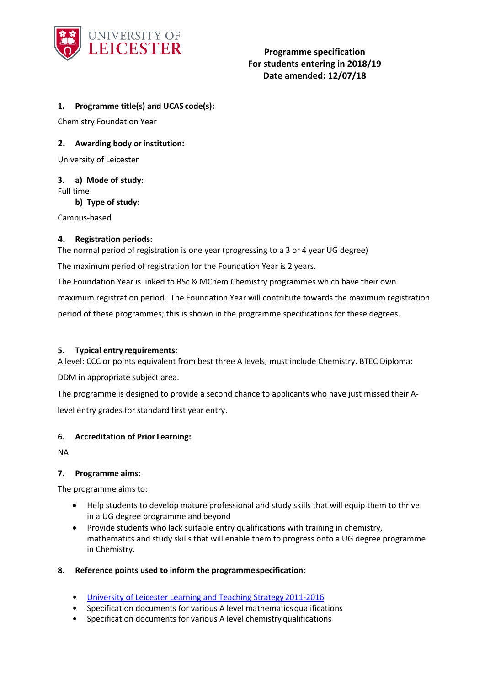

# **Programme specification For students entering in 2018/19 Date amended: 12/07/18**

## **1. Programme title(s) and UCAS code(s):**

Chemistry Foundation Year

## **2.** Awarding body or institution:

University of Leicester

#### **3. a) Mode of study:**

Full time

**b) Type of study:**

Campus-based

### **4. Registration periods:**

The normal period of registration is one year (progressing to a 3 or 4 year UG degree) The maximum period of registration for the Foundation Year is 2 years.

The Foundation Year is linked to BSc & MChem Chemistry programmes which have their own maximum registration period. The Foundation Year will contribute towards the maximum registration period of these programmes; this is shown in the programme specifications for these degrees.

## **5. Typical entry requirements:**

A level: CCC or points equivalent from best three A levels; must include Chemistry. BTEC Diploma:

DDM in appropriate subject area.

The programme is designed to provide a second chance to applicants who have just missed their Alevel entry grades for standard first year entry.

### **6. Accreditation of Prior Learning:**

NA

### **7. Programme aims:**

The programme aims to:

- Help students to develop mature professional and study skills that will equip them to thrive in a UG degree programme and beyond
- Provide students who lack suitable entry qualifications with training in chemistry, mathematics and study skills that will enable them to progress onto a UG degree programme in Chemistry.

### **8. Reference points used to inform the programmespecification:**

- [University of Leicester Learning and Teaching Strategy2011-2016](http://www2.le.ac.uk/offices/sas2/quality/learnteach)
- Specification documents for various A level mathematicsqualifications
- Specification documents for various A level chemistry qualifications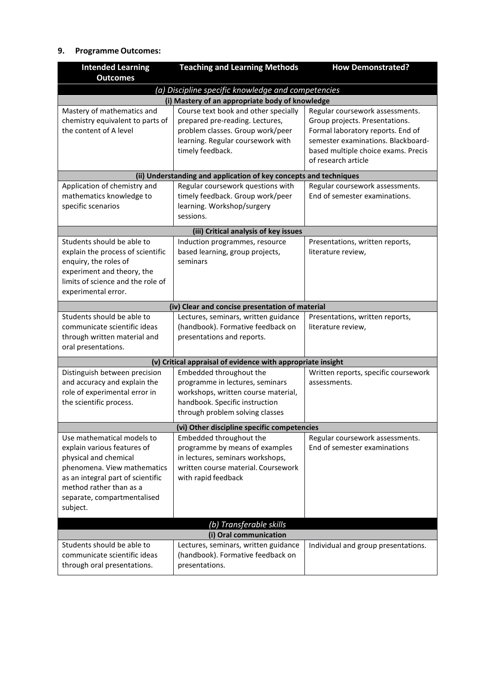# **9. Programme Outcomes:**

| <b>Intended Learning</b><br><b>Outcomes</b>                                                                                                                                                                                  | <b>Teaching and Learning Methods</b>                                                                                                                                   | <b>How Demonstrated?</b>                                                                                                                                                                                   |  |  |  |  |
|------------------------------------------------------------------------------------------------------------------------------------------------------------------------------------------------------------------------------|------------------------------------------------------------------------------------------------------------------------------------------------------------------------|------------------------------------------------------------------------------------------------------------------------------------------------------------------------------------------------------------|--|--|--|--|
|                                                                                                                                                                                                                              |                                                                                                                                                                        |                                                                                                                                                                                                            |  |  |  |  |
| (a) Discipline specific knowledge and competencies<br>(i) Mastery of an appropriate body of knowledge                                                                                                                        |                                                                                                                                                                        |                                                                                                                                                                                                            |  |  |  |  |
| Mastery of mathematics and<br>chemistry equivalent to parts of<br>the content of A level                                                                                                                                     | Course text book and other specially<br>prepared pre-reading. Lectures,<br>problem classes. Group work/peer<br>learning. Regular coursework with<br>timely feedback.   | Regular coursework assessments.<br>Group projects. Presentations.<br>Formal laboratory reports. End of<br>semester examinations. Blackboard-<br>based multiple choice exams. Precis<br>of research article |  |  |  |  |
|                                                                                                                                                                                                                              | (ii) Understanding and application of key concepts and techniques                                                                                                      |                                                                                                                                                                                                            |  |  |  |  |
| Application of chemistry and<br>mathematics knowledge to<br>specific scenarios                                                                                                                                               | Regular coursework questions with<br>timely feedback. Group work/peer<br>learning. Workshop/surgery<br>sessions.                                                       | Regular coursework assessments.<br>End of semester examinations.                                                                                                                                           |  |  |  |  |
|                                                                                                                                                                                                                              | (iii) Critical analysis of key issues                                                                                                                                  |                                                                                                                                                                                                            |  |  |  |  |
| Students should be able to<br>explain the process of scientific<br>enquiry, the roles of<br>experiment and theory, the<br>limits of science and the role of<br>experimental error.                                           | Induction programmes, resource<br>based learning, group projects,<br>seminars                                                                                          | Presentations, written reports,<br>literature review,                                                                                                                                                      |  |  |  |  |
|                                                                                                                                                                                                                              | (iv) Clear and concise presentation of material                                                                                                                        |                                                                                                                                                                                                            |  |  |  |  |
| Students should be able to<br>communicate scientific ideas<br>through written material and<br>oral presentations.                                                                                                            | Lectures, seminars, written guidance<br>(handbook). Formative feedback on<br>presentations and reports.                                                                | Presentations, written reports,<br>literature review,                                                                                                                                                      |  |  |  |  |
|                                                                                                                                                                                                                              | (v) Critical appraisal of evidence with appropriate insight                                                                                                            |                                                                                                                                                                                                            |  |  |  |  |
| Distinguish between precision<br>and accuracy and explain the<br>role of experimental error in<br>the scientific process.                                                                                                    | Embedded throughout the<br>programme in lectures, seminars<br>workshops, written course material,<br>handbook. Specific instruction<br>through problem solving classes | Written reports, specific coursework<br>assessments.                                                                                                                                                       |  |  |  |  |
|                                                                                                                                                                                                                              | (vi) Other discipline specific competencies                                                                                                                            |                                                                                                                                                                                                            |  |  |  |  |
| Use mathematical models to<br>explain various features of<br>physical and chemical<br>phenomena. View mathematics<br>as an integral part of scientific<br>method rather than as a<br>separate, compartmentalised<br>subject. | Embedded throughout the<br>programme by means of examples<br>in lectures, seminars workshops,<br>written course material. Coursework<br>with rapid feedback            | Regular coursework assessments.<br>End of semester examinations                                                                                                                                            |  |  |  |  |
| (b) Transferable skills                                                                                                                                                                                                      |                                                                                                                                                                        |                                                                                                                                                                                                            |  |  |  |  |
|                                                                                                                                                                                                                              | (i) Oral communication                                                                                                                                                 |                                                                                                                                                                                                            |  |  |  |  |
| Students should be able to<br>communicate scientific ideas<br>through oral presentations.                                                                                                                                    | Lectures, seminars, written guidance<br>(handbook). Formative feedback on<br>presentations.                                                                            | Individual and group presentations.                                                                                                                                                                        |  |  |  |  |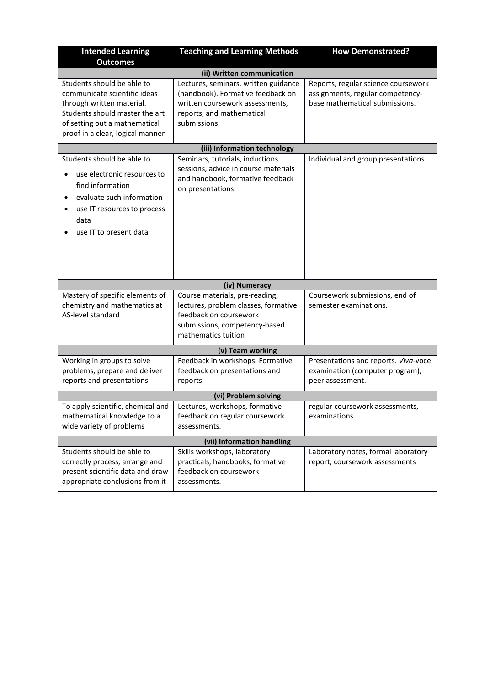| <b>Intended Learning</b>                                                                                                                                                                       | <b>Teaching and Learning Methods</b>                                                                                                                     | <b>How Demonstrated?</b>                                                                                  |  |  |  |
|------------------------------------------------------------------------------------------------------------------------------------------------------------------------------------------------|----------------------------------------------------------------------------------------------------------------------------------------------------------|-----------------------------------------------------------------------------------------------------------|--|--|--|
| <b>Outcomes</b>                                                                                                                                                                                |                                                                                                                                                          |                                                                                                           |  |  |  |
|                                                                                                                                                                                                | (ii) Written communication                                                                                                                               |                                                                                                           |  |  |  |
| Students should be able to<br>communicate scientific ideas<br>through written material.<br>Students should master the art<br>of setting out a mathematical<br>proof in a clear, logical manner | Lectures, seminars, written guidance<br>(handbook). Formative feedback on<br>written coursework assessments,<br>reports, and mathematical<br>submissions | Reports, regular science coursework<br>assignments, regular competency-<br>base mathematical submissions. |  |  |  |
|                                                                                                                                                                                                | (iii) Information technology                                                                                                                             |                                                                                                           |  |  |  |
| Students should be able to<br>use electronic resources to<br>find information<br>evaluate such information<br>use IT resources to process<br>٠<br>data<br>use IT to present data               | Seminars, tutorials, inductions<br>sessions, advice in course materials<br>and handbook, formative feedback<br>on presentations                          | Individual and group presentations.                                                                       |  |  |  |
|                                                                                                                                                                                                | (iv) Numeracy                                                                                                                                            |                                                                                                           |  |  |  |
| Mastery of specific elements of<br>chemistry and mathematics at<br>AS-level standard                                                                                                           | Course materials, pre-reading,<br>lectures, problem classes, formative<br>feedback on coursework<br>submissions, competency-based<br>mathematics tuition | Coursework submissions, end of<br>semester examinations.                                                  |  |  |  |
|                                                                                                                                                                                                | (v) Team working                                                                                                                                         |                                                                                                           |  |  |  |
| Working in groups to solve<br>problems, prepare and deliver<br>reports and presentations.                                                                                                      | Feedback in workshops. Formative<br>feedback on presentations and<br>reports.                                                                            | Presentations and reports. Viva-voce<br>examination (computer program),<br>peer assessment.               |  |  |  |
| (vi) Problem solving                                                                                                                                                                           |                                                                                                                                                          |                                                                                                           |  |  |  |
| To apply scientific, chemical and<br>mathematical knowledge to a<br>wide variety of problems                                                                                                   | Lectures, workshops, formative<br>feedback on regular coursework<br>assessments.                                                                         | regular coursework assessments,<br>examinations                                                           |  |  |  |
| (vii) Information handling                                                                                                                                                                     |                                                                                                                                                          |                                                                                                           |  |  |  |
| Students should be able to<br>correctly process, arrange and<br>present scientific data and draw<br>appropriate conclusions from it                                                            | Skills workshops, laboratory<br>practicals, handbooks, formative<br>feedback on coursework<br>assessments.                                               | Laboratory notes, formal laboratory<br>report, coursework assessments                                     |  |  |  |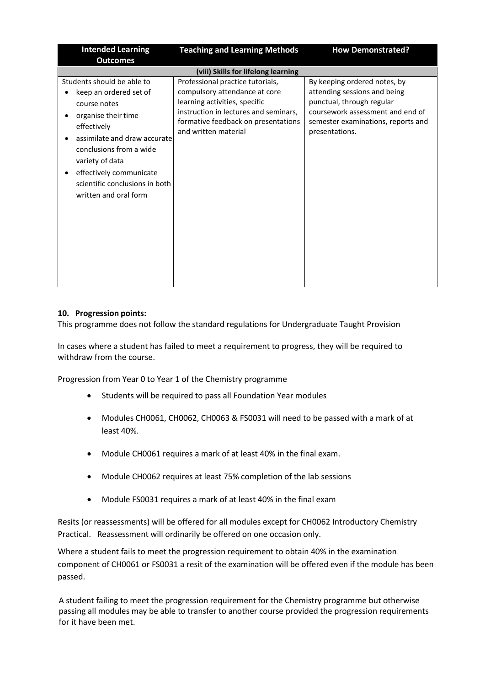| <b>Intended Learning</b>                                                                                                                                                                                                                                                       | <b>Teaching and Learning Methods</b>                                                                                                                                                                       | <b>How Demonstrated?</b>                                                                                                                                                              |  |  |  |
|--------------------------------------------------------------------------------------------------------------------------------------------------------------------------------------------------------------------------------------------------------------------------------|------------------------------------------------------------------------------------------------------------------------------------------------------------------------------------------------------------|---------------------------------------------------------------------------------------------------------------------------------------------------------------------------------------|--|--|--|
| <b>Outcomes</b>                                                                                                                                                                                                                                                                |                                                                                                                                                                                                            |                                                                                                                                                                                       |  |  |  |
| (viii) Skills for lifelong learning                                                                                                                                                                                                                                            |                                                                                                                                                                                                            |                                                                                                                                                                                       |  |  |  |
| Students should be able to<br>keep an ordered set of<br>course notes<br>organise their time<br>effectively<br>assimilate and draw accurate<br>conclusions from a wide<br>variety of data<br>effectively communicate<br>scientific conclusions in both<br>written and oral form | Professional practice tutorials,<br>compulsory attendance at core<br>learning activities, specific<br>instruction in lectures and seminars,<br>formative feedback on presentations<br>and written material | By keeping ordered notes, by<br>attending sessions and being<br>punctual, through regular<br>coursework assessment and end of<br>semester examinations, reports and<br>presentations. |  |  |  |

#### **10. Progression points:**

This programme does not follow the standard regulations for Undergraduate Taught Provision

In cases where a student has failed to meet a requirement to progress, they will be required to withdraw from the course.

Progression from Year 0 to Year 1 of the Chemistry programme

- Students will be required to pass all Foundation Year modules
- Modules CH0061, CH0062, CH0063 & FS0031 will need to be passed with a mark of at least 40%.
- Module CH0061 requires a mark of at least 40% in the final exam.
- Module CH0062 requires at least 75% completion of the lab sessions
- Module FS0031 requires a mark of at least 40% in the final exam

Resits (or reassessments) will be offered for all modules except for CH0062 Introductory Chemistry Practical. Reassessment will ordinarily be offered on one occasion only.

Where a student fails to meet the progression requirement to obtain 40% in the examination component of CH0061 or FS0031 a resit of the examination will be offered even if the module has been passed.

A student failing to meet the progression requirement for the Chemistry programme but otherwise passing all modules may be able to transfer to another course provided the progression requirements for it have been met.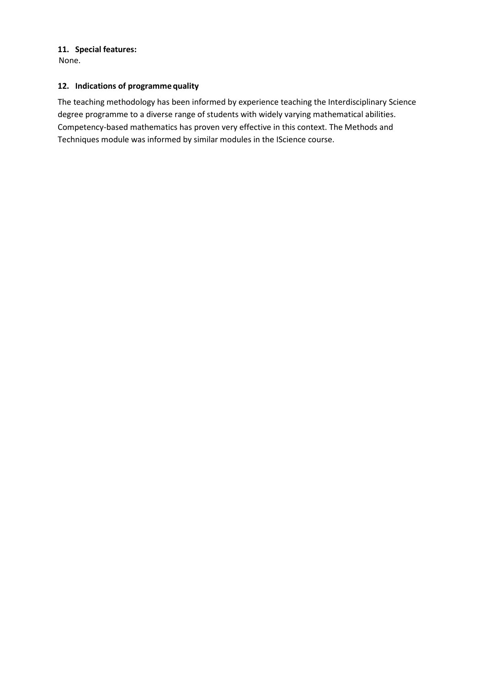# **11. Special features:**

None.

## **12. Indications of programme quality**

The teaching methodology has been informed by experience teaching the Interdisciplinary Science degree programme to a diverse range of students with widely varying mathematical abilities. Competency-based mathematics has proven very effective in this context. The Methods and Techniques module was informed by similar modules in the IScience course.